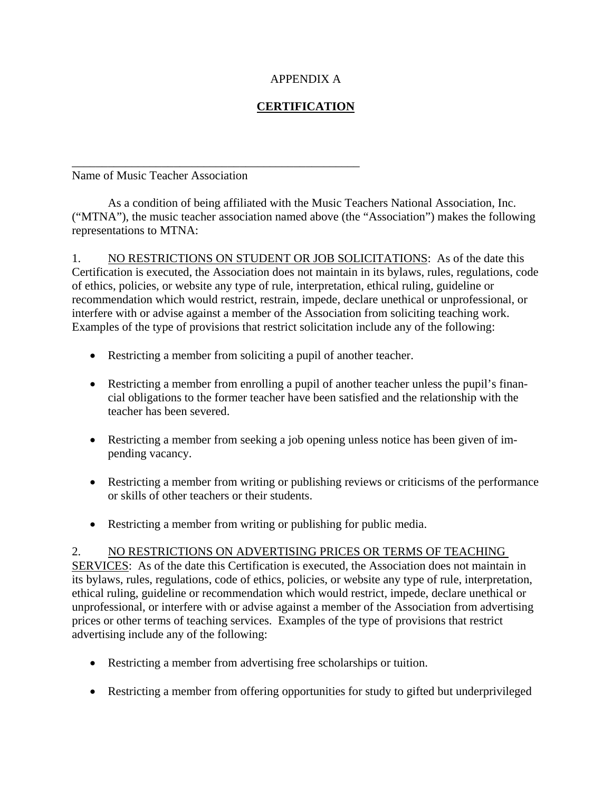## APPENDIX A

## **CERTIFICATION**

Name of Music Teacher Association

\_\_\_\_\_\_\_\_\_\_\_\_\_\_\_\_\_\_\_\_\_\_\_\_\_\_\_\_\_\_\_\_\_\_\_\_\_\_\_\_\_\_\_\_\_\_\_\_

 As a condition of being affiliated with the Music Teachers National Association, Inc. ("MTNA"), the music teacher association named above (the "Association") makes the following representations to MTNA:

1. NO RESTRICTIONS ON STUDENT OR JOB SOLICITATIONS: As of the date this Certification is executed, the Association does not maintain in its bylaws, rules, regulations, code of ethics, policies, or website any type of rule, interpretation, ethical ruling, guideline or recommendation which would restrict, restrain, impede, declare unethical or unprofessional, or interfere with or advise against a member of the Association from soliciting teaching work. Examples of the type of provisions that restrict solicitation include any of the following:

- Restricting a member from soliciting a pupil of another teacher.
- Restricting a member from enrolling a pupil of another teacher unless the pupil's financial obligations to the former teacher have been satisfied and the relationship with the teacher has been severed.
- Restricting a member from seeking a job opening unless notice has been given of impending vacancy.
- Restricting a member from writing or publishing reviews or criticisms of the performance or skills of other teachers or their students.
- Restricting a member from writing or publishing for public media.

## 2. NO RESTRICTIONS ON ADVERTISING PRICES OR TERMS OF TEACHING

SERVICES: As of the date this Certification is executed, the Association does not maintain in its bylaws, rules, regulations, code of ethics, policies, or website any type of rule, interpretation, ethical ruling, guideline or recommendation which would restrict, impede, declare unethical or unprofessional, or interfere with or advise against a member of the Association from advertising prices or other terms of teaching services. Examples of the type of provisions that restrict advertising include any of the following:

- Restricting a member from advertising free scholarships or tuition.
- Restricting a member from offering opportunities for study to gifted but underprivileged